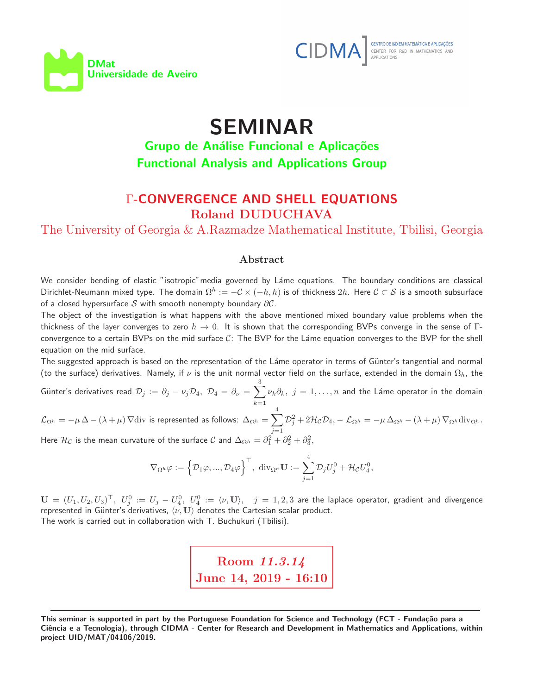



## SEMINAR

## Grupo de Análise Funcional e Aplicações Functional Analysis and Applications Group

## Γ-CONVERGENCE AND SHELL EQUATIONS Roland DUDUCHAVA

The University of Georgia & A.Razmadze Mathematical Institute, Tbilisi, Georgia

## Abstract

We consider bending of elastic "isotropic" media governed by Láme equations. The boundary conditions are classical Dirichlet-Neumann mixed type. The domain  $\Omega^h:=-\mathcal{C}\times(-h,h)$  is of thickness  $2h$ . Here  $\mathcal{C}\subset\mathcal{S}$  is a smooth subsurface of a closed hypersurface  $S$  with smooth nonempty boundary  $\partial C$ .

The object of the investigation is what happens with the above mentioned mixed boundary value problems when the thickness of the layer converges to zero  $h \to 0$ . It is shown that the corresponding BVPs converge in the sense of Γconvergence to a certain BVPs on the mid surface  $C$ : The BVP for the Láme equation converges to the BVP for the shell equation on the mid surface.

The suggested approach is based on the representation of the Láme operator in terms of Günter's tangential and normal (to the surface) derivatives. Namely, if  $\nu$  is the unit normal vector field on the surface, extended in the domain  $\Omega_h$ , the

Günter's derivatives read  $\mathcal{D}_j$  :=  $\partial_j - \nu_j \mathcal{D}_4, \; \mathcal{D}_4 = \partial_{\nu} = \sum_i$ 3  $k=1$  $\nu_k\partial_k, \,\, j=1,\ldots,n$  and the Láme operator in the domain 4

 $\mathcal{L}_{\Omega^h} = -\mu\,\Delta - (\lambda + \mu)\,\nabla \mathrm{div}$  is represented as follows:  $\Delta_{\Omega^h} = \sum \Lambda_{\Omega^h}$  $j=1$  $\mathcal{D}_j^2 + 2\mathcal{H}_{\mathcal{C}}\mathcal{D}_4$ ,  $-\mathcal{L}_{\Omega^h} = -\mu \Delta_{\Omega^h} - (\lambda + \mu) \nabla_{\Omega^h} \text{div}_{\Omega^h}$ . Here  $\mathcal{H}_{\mathcal{C}}$  is the mean curvature of the surface  $\mathcal{C}$  and  $\Delta_{\Omega^h}=\partial_1^2+\partial_2^2+\partial_3^2,$ 

$$
\nabla_{\Omega^h} \varphi:=\Big\{\mathcal{D}_1 \varphi,...,\mathcal{D}_4 \varphi\Big\}^\top,\,\, \mathrm{div}_{\Omega^h} \mathbf{U}:=\sum_{j=1}^4 \mathcal{D}_j U^0_j+\mathcal{H}_{\mathcal{C}} U^0_4,
$$

 $\mathbf{U} \,=\, (U_1,U_2,U_3)^{\top}, \,\, U_j^0 \,:=\, U_j \,-\, U_4^0, \,\, U_4^0 \,:=\, \langle \nu, \mathbf{U} \rangle, \quad j \,=\, 1,2,3$  are the laplace operator, gradient and divergence represented in Günter's derivatives,  $\langle \nu, {\bf U} \rangle$  denotes the Cartesian scalar product. The work is carried out in collaboration with T. Buchukuri (Tbilisi).

> Room 11.3.14 June 14, 2019 - 16:10

This seminar is supported in part by the Portuguese Foundation for Science and Technology (FCT - Fundação para a Ciência e a Tecnologia), through CIDMA - Center for Research and Development in Mathematics and Applications, within project UID/MAT/04106/2019.